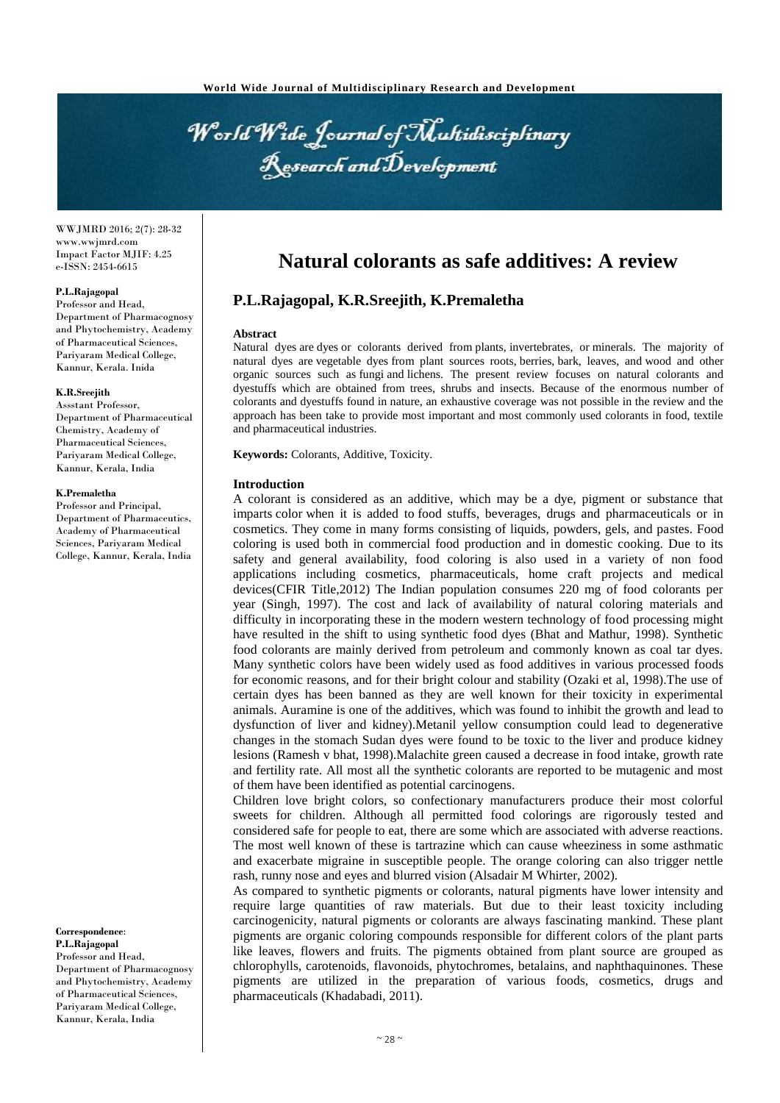World Wide Journal of Multidisciplinary Research and Development

WWJMRD 2016; 2(7): 28-32 www.wwjmrd.com Impact Factor MJIF: 4.25 e-ISSN: 2454-6615

#### **P.L.Rajagopal**

Professor and Head, Department of Pharmacognosy and Phytochemistry, Academy of Pharmaceutical Sciences, Pariyaram Medical College, Kannur, Kerala. Inida

#### **K.R.Sreejith**

Assstant Professor, Department of Pharmaceutical Chemistry, Academy of Pharmaceutical Sciences, Pariyaram Medical College, Kannur, Kerala, India

#### **K.Premaletha**

Professor and Principal, Department of Pharmaceutics, Academy of Pharmaceutical Sciences, Pariyaram Medical College, Kannur, Kerala, India

**Correspondence**: **P.L.Rajagopal** Professor and Head, Department of Pharmacognosy and Phytochemistry, Academy of Pharmaceutical Sciences, Pariyaram Medical College, Kannur, Kerala, India

# **Natural colorants as safe additives: A review**

## **P.L.Rajagopal, K.R.Sreejith, K.Premaletha**

#### **Abstract**

Natural dyes are dyes or colorants derived from plants, invertebrates, or minerals. The majority of natural dyes are vegetable dyes from plant sources roots, berries, bark, leaves, and wood and other organic sources such as fungi and lichens. The present review focuses on natural colorants and dyestuffs which are obtained from trees, shrubs and insects. Because of the enormous number of colorants and dyestuffs found in nature, an exhaustive coverage was not possible in the review and the approach has been take to provide most important and most commonly used colorants in food, textile and pharmaceutical industries.

**Keywords:** Colorants, Additive, Toxicity.

#### **Introduction**

A colorant is considered as an additive, which may be a dye, pigment or substance that imparts color when it is added to food stuffs, beverages, drugs and pharmaceuticals or in cosmetics. They come in many forms consisting of liquids, powders, gels, and pastes. Food coloring is used both in commercial food production and in domestic cooking. Due to its safety and general availability, food coloring is also used in a variety of non food applications including cosmetics, pharmaceuticals, home craft projects and medical devices(CFIR Title,2012) The Indian population consumes 220 mg of food colorants per year (Singh, 1997). The cost and lack of availability of natural coloring materials and difficulty in incorporating these in the modern western technology of food processing might have resulted in the shift to using synthetic food dyes (Bhat and Mathur, 1998). Synthetic food colorants are mainly derived from petroleum and commonly known as coal tar dyes. Many synthetic colors have been widely used as food additives in various processed foods for economic reasons, and for their bright colour and stability (Ozaki et al, 1998).The use of certain dyes has been banned as they are well known for their toxicity in experimental animals. Auramine is one of the additives, which was found to inhibit the growth and lead to dysfunction of liver and kidney).Metanil yellow consumption could lead to degenerative changes in the stomach Sudan dyes were found to be toxic to the liver and produce kidney lesions (Ramesh v bhat, 1998).Malachite green caused a decrease in food intake, growth rate and fertility rate. All most all the synthetic colorants are reported to be mutagenic and most of them have been identified as potential carcinogens.

Children love bright colors, so confectionary manufacturers produce their most colorful sweets for children. Although all permitted food colorings are rigorously tested and considered safe for people to eat, there are some which are associated with adverse reactions. The most well known of these is tartrazine which can cause wheeziness in some asthmatic and exacerbate migraine in susceptible people. The orange coloring can also trigger nettle rash, runny nose and eyes and blurred vision (Alsadair M Whirter, 2002).

As compared to synthetic pigments or colorants, natural pigments have lower intensity and require large quantities of raw materials. But due to their least toxicity including carcinogenicity, natural pigments or colorants are always fascinating mankind. These plant pigments are organic coloring compounds responsible for different colors of the plant parts like leaves, flowers and fruits. The pigments obtained from plant source are grouped as chlorophylls, carotenoids, flavonoids, phytochromes, betalains, and naphthaquinones. These pigments are utilized in the preparation of various foods, cosmetics, drugs and pharmaceuticals (Khadabadi, 2011).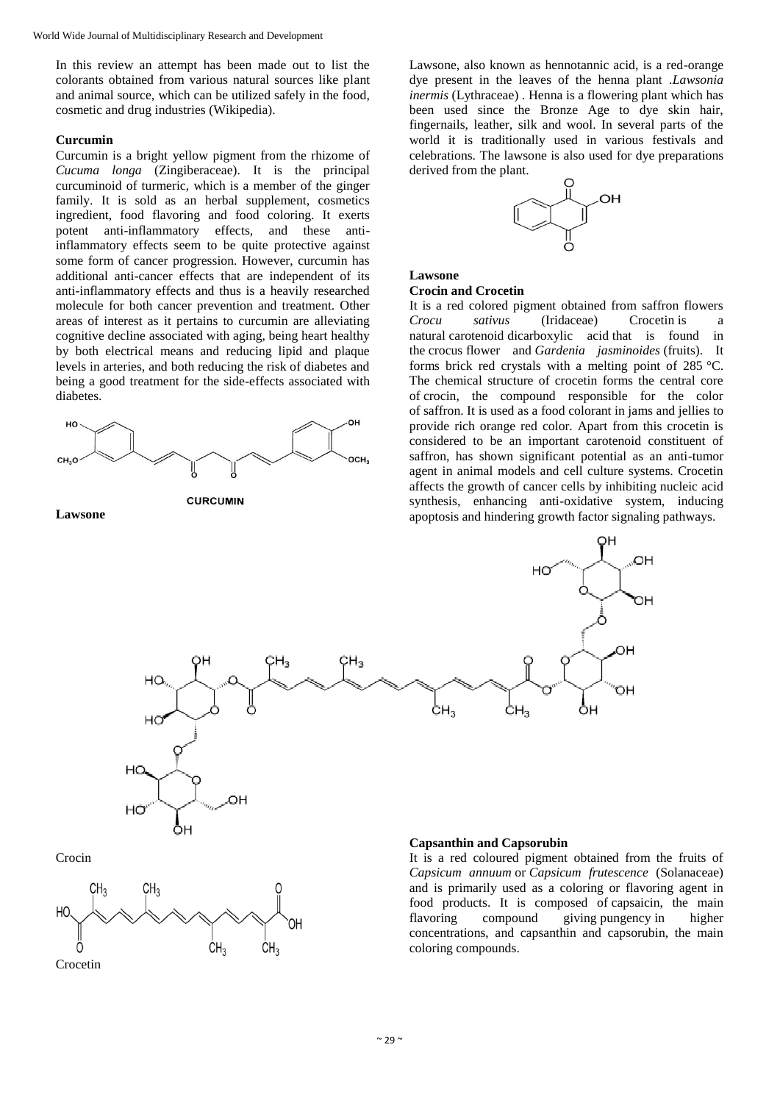In this review an attempt has been made out to list the colorants obtained from various natural sources like plant and animal source, which can be utilized safely in the food, cosmetic and drug industries (Wikipedia).

## **Curcumin**

Curcumin is a bright yellow pigment from the rhizome of *Cucuma longa* (Zingiberaceae). It is the principal curcuminoid of turmeric, which is a member of the ginger family. It is sold as an herbal supplement, cosmetics ingredient, food flavoring and food coloring. It exerts potent anti-inflammatory effects, and these antiinflammatory effects seem to be quite protective against some form of cancer progression. However, curcumin has additional anti-cancer effects that are independent of its anti-inflammatory effects and thus is a heavily researched molecule for both cancer prevention and treatment. Other areas of interest as it pertains to curcumin are alleviating cognitive decline associated with aging, being heart healthy by both electrical means and reducing lipid and plaque levels in arteries, and both reducing the risk of diabetes and being a good treatment for the side-effects associated with diabetes.



**Lawsone**

Lawsone, also known as hennotannic acid, is a red-orange dye present in the leaves of the henna plant .*Lawsonia inermis* (Lythraceae) . Henna is a flowering plant which has been used since the Bronze Age to dye skin hair, fingernails, leather, silk and wool. In several parts of the world it is traditionally used in various festivals and celebrations. The lawsone is also used for dye preparations derived from the plant.



## **Lawsone**

## **Crocin and Crocetin**

It is a red colored pigment obtained from saffron flowers *Crocu sativus* (Iridaceae) Crocetin is a natural carotenoid dicarboxylic acid that is found in the crocus flower and *Gardenia jasminoides* (fruits). It forms brick red crystals with a melting point of 285 °C. The chemical structure of crocetin forms the central core of crocin, the compound responsible for the color of saffron. It is used as a food colorant in jams and jellies to provide rich orange red color. Apart from this crocetin is considered to be an important carotenoid constituent of saffron, has shown significant potential as an anti-tumor agent in animal models and cell culture systems. Crocetin affects the growth of cancer cells by inhibiting nucleic acid synthesis, enhancing anti-oxidative system, inducing apoptosis and hindering growth factor signaling pathways.



It is a red coloured pigment obtained from the fruits of *Capsicum annuum* or *Capsicum frutescence* (Solanaceae) and is primarily used as a coloring or flavoring agent in food products. It is composed of capsaicin, the main flavoring compound giving pungency in higher concentrations, and capsanthin and capsorubin, the main coloring compounds.

Crocin

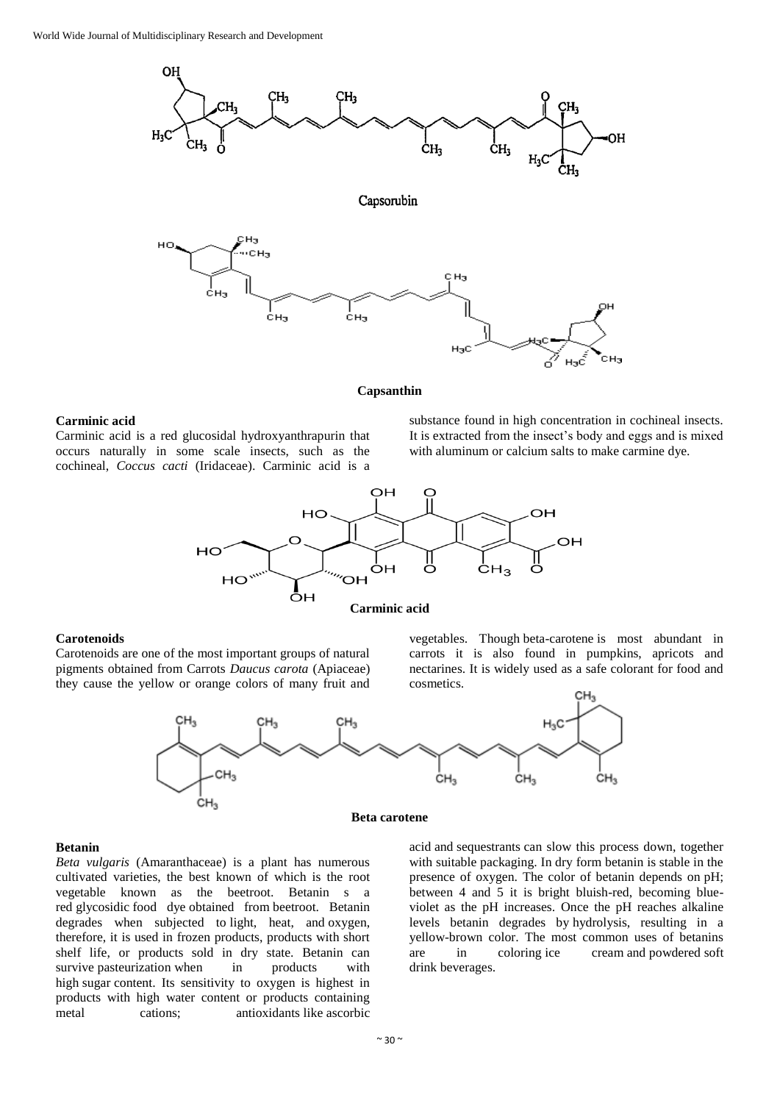

#### **Capsanthin**

#### **Carminic acid**

Carminic acid is a red glucosidal hydroxyanthrapurin that occurs naturally in some scale insects, such as the cochineal, *Coccus cacti* (Iridaceae). Carminic acid is a

substance found in high concentration in cochineal insects. It is extracted from the insect's body and eggs and is mixed with aluminum or calcium salts to make carmine dye.



### **Carminic acid**

## **Carotenoids**

Carotenoids are one of the most important groups of natural pigments obtained from Carrots *Daucus carota* (Apiaceae) they cause the yellow or orange colors of many fruit and



vegetables. Though beta-carotene is most abundant in



**Beta carotene**

#### **Betanin**

*Beta vulgaris* (Amaranthaceae) is a plant has numerous cultivated varieties, the best known of which is the root vegetable known as the beetroot. Betanin s a red glycosidic food dye obtained from beetroot. Betanin degrades when subjected to light, heat, and oxygen, therefore, it is used in frozen products, products with short shelf life, or products sold in dry state. Betanin can survive pasteurization when in products with high sugar content. Its sensitivity to oxygen is highest in products with high water content or products containing metal cations; antioxidants like ascorbic acid and sequestrants can slow this process down, together with suitable packaging. In dry form betanin is stable in the presence of oxygen. The color of betanin depends on pH; between 4 and 5 it is bright bluish-red, becoming blueviolet as the pH increases. Once the pH reaches alkaline levels betanin degrades by hydrolysis, resulting in a yellow-brown color. The most common uses of betanins are in coloring ice cream and powdered soft drink beverages.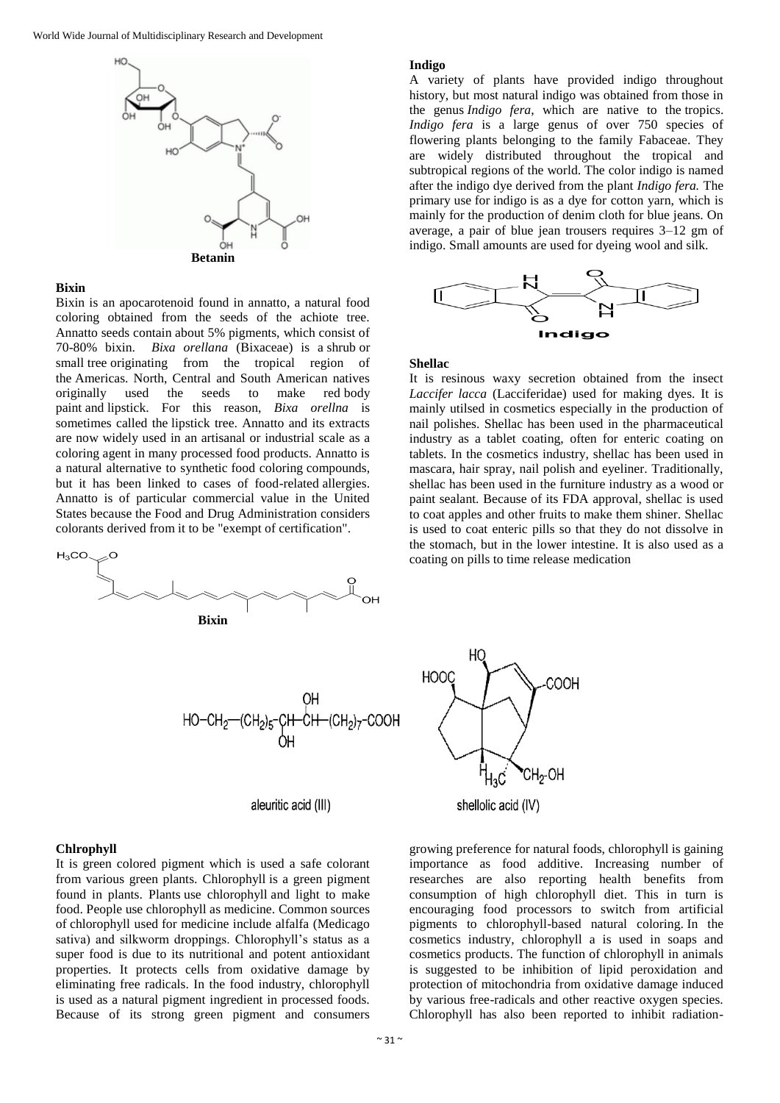

#### **Bixin**

Bixin is an apocarotenoid found in annatto, a natural food coloring obtained from the seeds of the achiote tree. Annatto seeds contain about 5% pigments, which consist of 70-80% bixin. *Bixa orellana* (Bixaceae) is a shrub or small tree originating from the tropical region of the Americas. North, Central and South American natives originally used the seeds to make red body paint and lipstick. For this reason, *Bixa orellna* is sometimes called the lipstick tree. Annatto and its extracts are now widely used in an artisanal or industrial scale as a coloring agent in many processed food products. Annatto is a natural alternative to synthetic food coloring compounds, but it has been linked to cases of food-related allergies. Annatto is of particular commercial value in the United States because the Food and Drug Administration considers colorants derived from it to be "exempt of certification".



#### **Indigo**

A variety of plants have provided indigo throughout history, but most natural indigo was obtained from those in the genus *Indigo fera*, which are native to the tropics. *Indigo fera* is a large genus of over 750 species of flowering plants belonging to the family Fabaceae. They are widely distributed throughout the tropical and subtropical regions of the world. The color indigo is named after the indigo dye derived from the plant *Indigo fera.* The primary use for indigo is as a dye for cotton yarn, which is mainly for the production of denim cloth for blue jeans. On average, a pair of blue jean trousers requires 3–12 gm of indigo. Small amounts are used for dyeing wool and silk.



## **Shellac**

It is resinous waxy secretion obtained from the insect *Laccifer lacca* (Lacciferidae) used for making dyes. It is mainly utilsed in cosmetics especially in the production of nail polishes. Shellac has been used in the pharmaceutical industry as a tablet coating, often for enteric coating on tablets. In the cosmetics industry, shellac has been used in mascara, hair spray, nail polish and eyeliner. Traditionally, shellac has been used in the furniture industry as a wood or paint sealant. Because of its FDA approval, shellac is used to coat apples and other fruits to make them shiner. Shellac is used to coat enteric pills so that they do not dissolve in the stomach, but in the lower intestine. It is also used as a coating on pills to time release medication

aleuritic acid (III)



#### **Chlrophyll**

It is green colored pigment which is used a safe colorant from various green plants. Chlorophyll is a green pigment found in plants. Plants use chlorophyll and light to make food. People use chlorophyll as medicine. Common sources of chlorophyll used for medicine include alfalfa (Medicago sativa) and silkworm droppings. Chlorophyll's status as a super food is due to its nutritional and potent antioxidant properties. It protects cells from oxidative damage by eliminating free radicals. In the food industry, chlorophyll is used as a natural pigment ingredient in processed foods. Because of its strong green pigment and consumers

growing preference for natural foods, chlorophyll is gaining importance as food additive. Increasing number of researches are also reporting health benefits from consumption of high chlorophyll diet. This in turn is encouraging food processors to switch from artificial pigments to chlorophyll-based natural coloring. In the cosmetics industry, chlorophyll a is used in soaps and cosmetics products. The function of chlorophyll in animals is suggested to be inhibition of lipid peroxidation and protection of mitochondria from oxidative damage induced by various free-radicals and other reactive oxygen species. Chlorophyll has also been reported to inhibit radiation